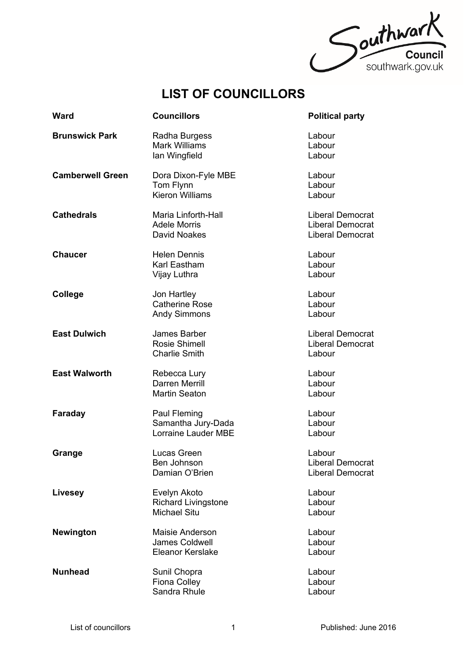

## **LIST OF COUNCILLORS**

| <b>Ward</b>             | <b>Councillors</b>                                                  | <b>Political party</b>                                                        |
|-------------------------|---------------------------------------------------------------------|-------------------------------------------------------------------------------|
| <b>Brunswick Park</b>   | Radha Burgess<br><b>Mark Williams</b><br>lan Wingfield              | Labour<br>Labour<br>Labour                                                    |
| <b>Camberwell Green</b> | Dora Dixon-Fyle MBE<br>Tom Flynn<br><b>Kieron Williams</b>          | Labour<br>Labour<br>Labour                                                    |
| <b>Cathedrals</b>       | Maria Linforth-Hall<br><b>Adele Morris</b><br>David Noakes          | <b>Liberal Democrat</b><br><b>Liberal Democrat</b><br><b>Liberal Democrat</b> |
| <b>Chaucer</b>          | <b>Helen Dennis</b><br>Karl Eastham<br>Vijay Luthra                 | Labour<br>Labour<br>Labour                                                    |
| College                 | Jon Hartley<br><b>Catherine Rose</b><br><b>Andy Simmons</b>         | Labour<br>Labour<br>Labour                                                    |
| <b>East Dulwich</b>     | James Barber<br>Rosie Shimell<br><b>Charlie Smith</b>               | <b>Liberal Democrat</b><br><b>Liberal Democrat</b><br>Labour                  |
| <b>East Walworth</b>    | Rebecca Lury<br>Darren Merrill<br><b>Martin Seaton</b>              | Labour<br>Labour<br>Labour                                                    |
| Faraday                 | Paul Fleming<br>Samantha Jury-Dada<br>Lorraine Lauder MBE           | Labour<br>Labour<br>Labour                                                    |
| Grange                  | Lucas Green<br>Ben Johnson<br>Damian O'Brien                        | Labour<br>Liberal Democrat<br><b>Liberal Democrat</b>                         |
| <b>Livesey</b>          | Evelyn Akoto<br><b>Richard Livingstone</b><br><b>Michael Situ</b>   | Labour<br>Labour<br>Labour                                                    |
| Newington               | Maisie Anderson<br><b>James Coldwell</b><br><b>Eleanor Kerslake</b> | Labour<br>Labour<br>Labour                                                    |
| <b>Nunhead</b>          | Sunil Chopra<br>Fiona Colley<br>Sandra Rhule                        | Labour<br>Labour<br>Labour                                                    |